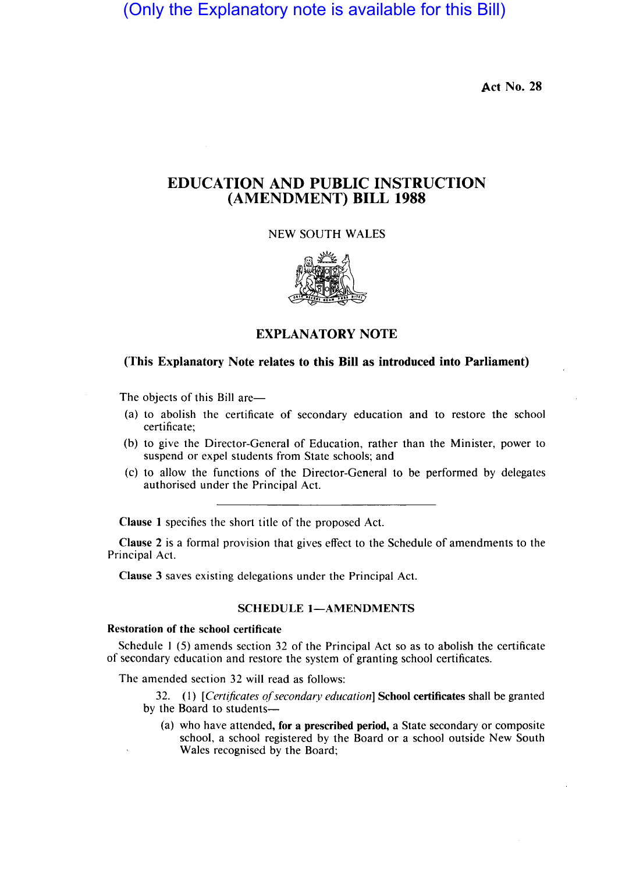(Only the Explanatory note is available for this Bill)

Act No. 28

# EDUCATION AND PUBLIC INSTRUCTION (AMENDMENT) BILL 1988

NEW SOUTH WALES



EXPLANATORY NOTE

# (This Explanatory Note relates to this Bill as introduced into Parliament)

The objects of this Bill are—

- (a) to abolish the certificate of secondary education and to restore the school certificate;
- (b) to give the Director-General of Education, rather than the Minister, power to suspend or expel students from State schools; and
- (c) to allow the functions of the Director-General to be performed by delegates authorised under the Principal Act.

Clause I specifies the short title of the proposed Act.

Clause 2 is a formal provision that gives effect to the Schedule of amendments to the Principal Act.

Clause 3 saves existing delegations under the Principal Act.

# SCHEDULE 1-AMENDMENTS

#### Restoration of the school certificate

Schedule I (5) amends section 32 of the Principal Act so as to abolish the certificate of secondary education and restore the system of granting school certificates.

The amended section 32 will read as follows:

32. (I) *[Cert(ficates of secondary education]* School certificates shall be granted by the Board to students-

(a) who have attended, for a prescribed period, a State secondary or composite school, a school registered by the Board or a school outside New South Wales recognised by the Board;